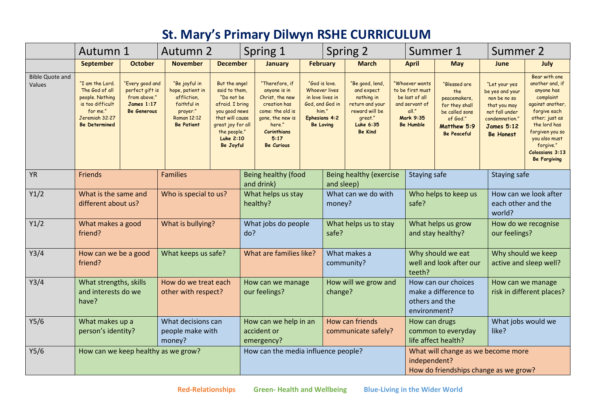## **St. Mary's Primary Dilwyn RSHE CURRICULUM**

|                                  | Autumn 1                                                                                                                       |                                                                                               | Autumn 2                                                                                                        |                                                                                                                                                                           | Spring 1                       |                                                                                                                                                                        | Spring 2                                                                                                                   |                                        | Summer 1                                                                                                                   |                               |                                                                                                                  | Summer 2                                                                                                                 |                                                                                                                                               |                                                                                                                                                                                                                              |  |
|----------------------------------|--------------------------------------------------------------------------------------------------------------------------------|-----------------------------------------------------------------------------------------------|-----------------------------------------------------------------------------------------------------------------|---------------------------------------------------------------------------------------------------------------------------------------------------------------------------|--------------------------------|------------------------------------------------------------------------------------------------------------------------------------------------------------------------|----------------------------------------------------------------------------------------------------------------------------|----------------------------------------|----------------------------------------------------------------------------------------------------------------------------|-------------------------------|------------------------------------------------------------------------------------------------------------------|--------------------------------------------------------------------------------------------------------------------------|-----------------------------------------------------------------------------------------------------------------------------------------------|------------------------------------------------------------------------------------------------------------------------------------------------------------------------------------------------------------------------------|--|
|                                  | September                                                                                                                      | <b>October</b>                                                                                | <b>November</b>                                                                                                 | <b>December</b>                                                                                                                                                           |                                | <b>January</b>                                                                                                                                                         | <b>February</b>                                                                                                            |                                        | <b>March</b>                                                                                                               |                               | <b>April</b>                                                                                                     | <b>May</b>                                                                                                               | <b>June</b>                                                                                                                                   | <b>July</b>                                                                                                                                                                                                                  |  |
| <b>Bible Quote and</b><br>Values | "I am the Lord.<br>The God of all<br>people. Nothing<br>is too difficult<br>for me."<br>Jeremiah 32:27<br><b>Be Determined</b> | 'Every good and<br>perfect gift is<br>from above."<br><b>James 1:17</b><br><b>Be Generous</b> | "Be joyful in<br>hope, patient in<br>affliction,<br>faithful in<br>prayer."<br>Roman 12:12<br><b>Be Patient</b> | But the angel<br>said to them,<br>"Do not be<br>afraid. I bring<br>you good news<br>that will cause<br>great joy for all<br>the people."<br><b>Luke 2:10</b><br>Be Joyful |                                | "Therefore, if<br>anyone is in<br>Christ, the new<br>creation has<br>come: the old is<br>gone, the new is<br>here."<br><b>Corinthians</b><br>5:17<br><b>Be Curious</b> | "God is love.<br><b>Whoever lives</b><br>in love lives in<br>God, and God in<br>him."<br>Ephesians 4:2<br><b>Be Loving</b> |                                        | "Be good, lend,<br>and expect<br>nothing in<br>return and your<br>reward will be<br>great."<br>Luke 6:35<br><b>Be Kind</b> |                               | "Whoever wants<br>to be first must<br>be last of all<br>and servant of<br>all."<br>Mark 9:35<br><b>Be Humble</b> | "Blessed are<br>the<br>peacemakers,<br>for they shall<br>be called sons<br>of God."<br>Matthew 5:9<br><b>Be Peaceful</b> | "Let your yes<br>be yes and your<br>non be no so<br>that you may<br>not fall under<br>condemnation."<br><b>James 5:12</b><br><b>Be Honest</b> | Bear with one<br>another and, if<br>anyone has<br>complaint<br>against another,<br>forgive each<br>other; just as<br>the lord has<br>forgiven you so<br>you also must<br>forgive."<br>Colossians 3:13<br><b>Be Forgiving</b> |  |
| YR                               | <b>Friends</b>                                                                                                                 | <b>Families</b>                                                                               |                                                                                                                 |                                                                                                                                                                           |                                | Being healthy (food<br>and drink)                                                                                                                                      |                                                                                                                            | Being healthy (exercise<br>and sleep)  |                                                                                                                            |                               | Staying safe                                                                                                     |                                                                                                                          | Staying safe                                                                                                                                  |                                                                                                                                                                                                                              |  |
| Y1/2                             | What is the same and<br>different about us?                                                                                    |                                                                                               | Who is special to us?                                                                                           |                                                                                                                                                                           | What helps us stay<br>healthy? |                                                                                                                                                                        | What can we do with<br>money?                                                                                              |                                        |                                                                                                                            | Who helps to keep us<br>safe? |                                                                                                                  | world?                                                                                                                   | How can we look after<br>each other and the                                                                                                   |                                                                                                                                                                                                                              |  |
| Y1/2                             | What makes a good<br>friend?                                                                                                   |                                                                                               | What is bullying?                                                                                               |                                                                                                                                                                           | What jobs do people<br>do?     |                                                                                                                                                                        |                                                                                                                            | What helps us to stay<br>safe?         |                                                                                                                            |                               | What helps us grow<br>and stay healthy?                                                                          |                                                                                                                          | How do we recognise<br>our feelings?                                                                                                          |                                                                                                                                                                                                                              |  |
| Y3/4                             | How can we be a good<br>friend?                                                                                                |                                                                                               | What keeps us safe?                                                                                             |                                                                                                                                                                           |                                | What are families like?                                                                                                                                                |                                                                                                                            | What makes a<br>community?             |                                                                                                                            |                               | Why should we eat<br>well and look after our<br>teeth?                                                           |                                                                                                                          | Why should we keep<br>active and sleep well?                                                                                                  |                                                                                                                                                                                                                              |  |
| Y3/4                             | What strengths, skills<br>and interests do we<br>have?                                                                         |                                                                                               | How do we treat each<br>other with respect?                                                                     |                                                                                                                                                                           |                                | How can we manage<br>our feelings?                                                                                                                                     |                                                                                                                            |                                        | How will we grow and<br>change?                                                                                            |                               | How can our choices<br>make a difference to<br>others and the<br>environment?                                    |                                                                                                                          | How can we manage<br>risk in different places?                                                                                                |                                                                                                                                                                                                                              |  |
| Y5/6                             | What makes up a<br>person's identity?                                                                                          |                                                                                               | What decisions can<br>people make with<br>money?                                                                |                                                                                                                                                                           |                                | How can we help in an<br>accident or<br>emergency?                                                                                                                     |                                                                                                                            | How can friends<br>communicate safely? |                                                                                                                            |                               | How can drugs<br>common to everyday<br>life affect health?                                                       |                                                                                                                          | like?                                                                                                                                         | What jobs would we                                                                                                                                                                                                           |  |
| Y5/6                             | How can we keep healthy as we grow?                                                                                            |                                                                                               |                                                                                                                 |                                                                                                                                                                           |                                | How can the media influence people?                                                                                                                                    |                                                                                                                            |                                        |                                                                                                                            |                               | What will change as we become more<br>independent?<br>How do friendships change as we grow?                      |                                                                                                                          |                                                                                                                                               |                                                                                                                                                                                                                              |  |